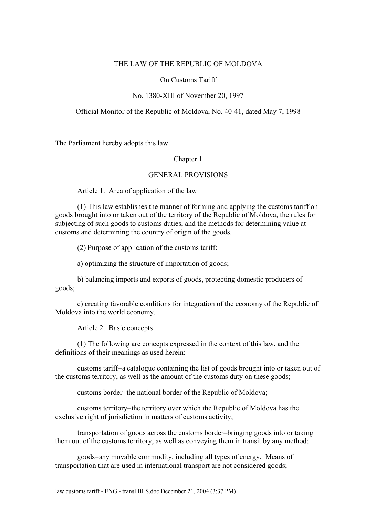#### THE LAW OF THE REPUBLIC OF MOLDOVA

On Customs Tariff

#### No. 1380-XIII of November 20, 1997

Official Monitor of the Republic of Moldova, No. 40-41, dated May 7, 1998

----------

The Parliament hereby adopts this law.

# Chapter 1

#### GENERAL PROVISIONS

Article 1. Area of application of the law

(1) This law establishes the manner of forming and applying the customs tariff on goods brought into or taken out of the territory of the Republic of Moldova, the rules for subjecting of such goods to customs duties, and the methods for determining value at customs and determining the country of origin of the goods.

(2) Purpose of application of the customs tariff:

a) optimizing the structure of importation of goods;

b) balancing imports and exports of goods, protecting domestic producers of goods;

c) creating favorable conditions for integration of the economy of the Republic of Moldova into the world economy.

Article 2. Basic concepts

(1) The following are concepts expressed in the context of this law, and the definitions of their meanings as used herein:

customs tariff – a catalogue containing the list of goods brought into or taken out of the customs territory, as well as the amount of the customs duty on these goods;

customs border – the national border of the Republic of Moldova;

customs territory – the territory over which the Republic of Moldova has the exclusive right of jurisdiction in matters of customs activity;

transportation of goods across the customs border – bringing goods into or taking them out of the customs territory, as well as conveying them in transit by any method;

goods – any movable commodity, including all types of energy. Means of transportation that are used in international transport are not considered goods;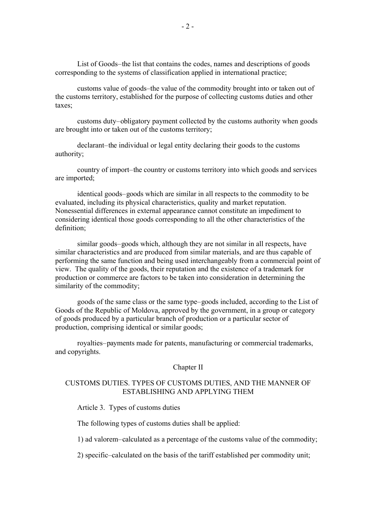List of Goods – the list that contains the codes, names and descriptions of goods corresponding to the systems of classification applied in international practice;

customs value of goods – the value of the commodity brought into or taken out of the customs territory, established for the purpose of collecting customs duties and other taxes;

customs duty – obligatory payment collected by the customs authority when goods are brought into or taken out of the customs territory;

declarant – the individual or legal entity declaring their goods to the customs authority;

country of import – the country or customs territory into which goods and services are imported;

identical goods – goods which are similar in all respects to the commodity to be evaluated, including its physical characteristics, quality and market reputation. Nonessential differences in external appearance cannot constitute an impediment to considering identical those goods corresponding to all the other characteristics of the definition;

similar goods – goods which, although they are not similar in all respects, have similar characteristics and are produced from similar materials, and are thus capable of performing the same function and being used interchangeably from a commercial point of view. The quality of the goods, their reputation and the existence of a trademark for production or commerce are factors to be taken into consideration in determining the similarity of the commodity;

goods of the same class or the same type – goods included, according to the List of Goods of the Republic of Moldova, approved by the government, in a group or category of goods produced by a particular branch of production or a particular sector of production, comprising identical or similar goods;

royalties-payments made for patents, manufacturing or commercial trademarks, and copyrights.

#### Chapter II

# CUSTOMS DUTIES. TYPES OF CUSTOMS DUTIES, AND THE MANNER OF ESTABLISHING AND APPLYING THEM

Article 3. Types of customs duties

The following types of customs duties shall be applied:

1) ad valorem – calculated as a percentage of the customs value of the commodity;

2) specific – calculated on the basis of the tariff established per commodity unit;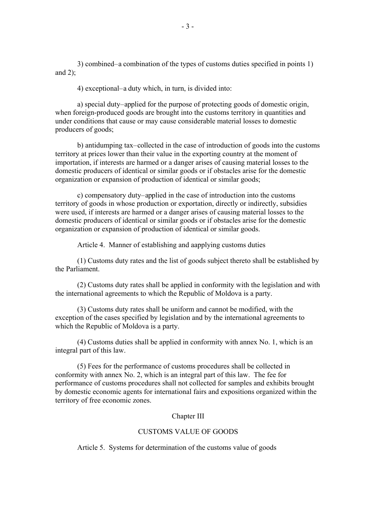3) combined – a combination of the types of customs duties specified in points 1) and  $2$ ):

4) exceptional – a duty which, in turn, is divided into:

a) special duty – applied for the purpose of protecting goods of domestic origin, when foreign-produced goods are brought into the customs territory in quantities and under conditions that cause or may cause considerable material losses to domestic producers of goods;

b) antidumping tax – collected in the case of introduction of goods into the customs territory at prices lower than their value in the exporting country at the moment of importation, if interests are harmed or a danger arises of causing material losses to the domestic producers of identical or similar goods or if obstacles arise for the domestic organization or expansion of production of identical or similar goods;

c) compensatory duty-applied in the case of introduction into the customs territory of goods in whose production or exportation, directly or indirectly, subsidies were used, if interests are harmed or a danger arises of causing material losses to the domestic producers of identical or similar goods or if obstacles arise for the domestic organization or expansion of production of identical or similar goods.

Article 4. Manner of establishing and aapplying customs duties

(1) Customs duty rates and the list of goods subject thereto shall be established by the Parliament.

(2) Customs duty rates shall be applied in conformity with the legislation and with the international agreements to which the Republic of Moldova is a party.

(3) Customs duty rates shall be uniform and cannot be modified, with the exception of the cases specified by legislation and by the international agreements to which the Republic of Moldova is a party.

(4) Customs duties shall be applied in conformity with annex No. 1, which is an integral part of this law.

(5) Fees for the performance of customs procedures shall be collected in conformity with annex No. 2, which is an integral part of this law. The fee for performance of customs procedures shall not collected for samples and exhibits brought by domestic economic agents for international fairs and expositions organized within the territory of free economic zones.

### Chapter III

#### CUSTOMS VALUE OF GOODS

Article 5. Systems for determination of the customs value of goods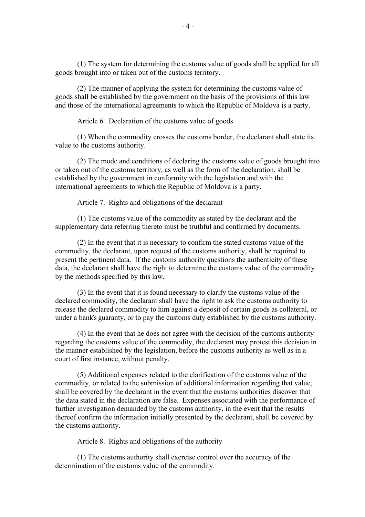(1) The system for determining the customs value of goods shall be applied for all goods brought into or taken out of the customs territory.

(2) The manner of applying the system for determining the customs value of goods shall be established by the government on the basis of the provisions of this law and those of the international agreements to which the Republic of Moldova is a party.

Article 6. Declaration of the customs value of goods

(1) When the commodity crosses the customs border, the declarant shall state its value to the customs authority.

(2) The mode and conditions of declaring the customs value of goods brought into or taken out of the customs territory, as well as the form of the declaration, shall be established by the government in conformity with the legislation and with the international agreements to which the Republic of Moldova is a party.

Article 7. Rights and obligations of the declarant

(1) The customs value of the commodity as stated by the declarant and the supplementary data referring thereto must be truthful and confirmed by documents.

(2) In the event that it is necessary to confirm the stated customs value of the commodity, the declarant, upon request of the customs authority, shall be required to present the pertinent data. If the customs authority questions the authenticity of these data, the declarant shall have the right to determine the customs value of the commodity by the methods specified by this law.

(3) In the event that it is found necessary to clarify the customs value of the declared commodity, the declarant shall have the right to ask the customs authority to release the declared commodity to him against a deposit of certain goods as collateral, or under a bank's guaranty, or to pay the customs duty established by the customs authority.

(4) In the event that he does not agree with the decision of the customs authority regarding the customs value of the commodity, the declarant may protest this decision in the manner established by the legislation, before the customs authority as well as in a court of first instance, without penalty.

(5) Additional expenses related to the clarification of the customs value of the commodity, or related to the submission of additional information regarding that value, shall be covered by the declarant in the event that the customs authorities discover that the data stated in the declaration are false. Expenses associated with the performance of further investigation demanded by the customs authority, in the event that the results thereof confirm the information initially presented by the declarant, shall be covered by the customs authority.

Article 8. Rights and obligations of the authority

(1) The customs authority shall exercise control over the accuracy of the determination of the customs value of the commodity.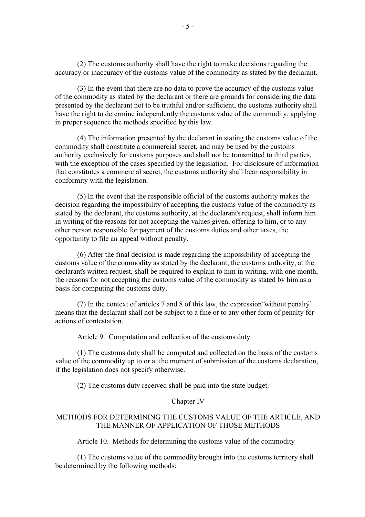(2) The customs authority shall have the right to make decisions regarding the accuracy or inaccuracy of the customs value of the commodity as stated by the declarant.

(3) In the event that there are no data to prove the accuracy of the customs value of the commodity as stated by the declarant or there are grounds for considering the data presented by the declarant not to be truthful and/or sufficient, the customs authority shall have the right to determine independently the customs value of the commodity, applying in proper sequence the methods specified by this law.

(4) The information presented by the declarant in stating the customs value of the commodity shall constitute a commercial secret, and may be used by the customs authority exclusively for customs purposes and shall not be transmitted to third parties, with the exception of the cases specified by the legislation. For disclosure of information that constitutes a commercial secret, the customs authority shall bear responsibility in conformity with the legislation.

(5) In the event that the responsible official of the customs authority makes the decision regarding the impossibility of accepting the customs value of the commodity as stated by the declarant, the customs authority, at the declarant's request, shall inform him in writing of the reasons for not accepting the values given, offering to him, or to any other person responsible for payment of the customs duties and other taxes, the opportunity to file an appeal without penalty.

(6) After the final decision is made regarding the impossibility of accepting the customs value of the commodity as stated by the declarant, the customs authority, at the declarant's written request, shall be required to explain to him in writing, with one month, the reasons for not accepting the customs value of the commodity as stated by him as a basis for computing the customs duty.

(7) In the context of articles 7 and 8 of this law, the expression "without penalty" means that the declarant shall not be subject to a fine or to any other form of penalty for actions of contestation.

Article 9. Computation and collection of the customs duty

(1) The customs duty shall be computed and collected on the basis of the customs value of the commodity up to or at the moment of submission of the customs declaration, if the legislation does not specify otherwise.

(2) The customs duty received shall be paid into the state budget.

#### Chapter IV

# METHODS FOR DETERMINING THE CUSTOMS VALUE OF THE ARTICLE, AND THE MANNER OF APPLICATION OF THOSE METHODS

Article 10. Methods for determining the customs value of the commodity

(1) The customs value of the commodity brought into the customs territory shall be determined by the following methods: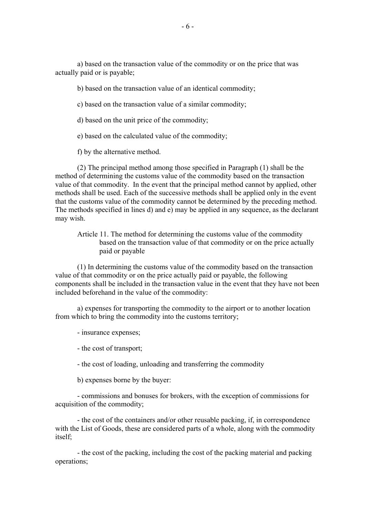a) based on the transaction value of the commodity or on the price that was actually paid or is payable;

b) based on the transaction value of an identical commodity;

c) based on the transaction value of a similar commodity;

d) based on the unit price of the commodity;

e) based on the calculated value of the commodity;

f) by the alternative method.

(2) The principal method among those specified in Paragraph (1) shall be the method of determining the customs value of the commodity based on the transaction value of that commodity. In the event that the principal method cannot by applied, other methods shall be used. Each of the successive methods shall be applied only in the event that the customs value of the commodity cannot be determined by the preceding method. The methods specified in lines d) and e) may be applied in any sequence, as the declarant may wish.

Article 11. The method for determining the customs value of the commodity based on the transaction value of that commodity or on the price actually paid or payable

(1) In determining the customs value of the commodity based on the transaction value of that commodity or on the price actually paid or payable, the following components shall be included in the transaction value in the event that they have not been included beforehand in the value of the commodity:

a) expenses for transporting the commodity to the airport or to another location from which to bring the commodity into the customs territory;

- insurance expenses;

- the cost of transport;

- the cost of loading, unloading and transferring the commodity

b) expenses borne by the buyer:

- commissions and bonuses for brokers, with the exception of commissions for acquisition of the commodity;

- the cost of the containers and/or other reusable packing, if, in correspondence with the List of Goods, these are considered parts of a whole, along with the commodity itself;

- the cost of the packing, including the cost of the packing material and packing operations;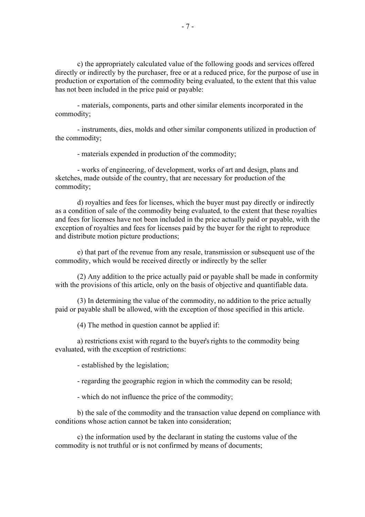c) the appropriately calculated value of the following goods and services offered directly or indirectly by the purchaser, free or at a reduced price, for the purpose of use in production or exportation of the commodity being evaluated, to the extent that this value has not been included in the price paid or payable:

- materials, components, parts and other similar elements incorporated in the commodity;

- instruments, dies, molds and other similar components utilized in production of the commodity;

- materials expended in production of the commodity;

- works of engineering, of development, works of art and design, plans and sketches, made outside of the country, that are necessary for production of the commodity;

d) royalties and fees for licenses, which the buyer must pay directly or indirectly as a condition of sale of the commodity being evaluated, to the extent that these royalties and fees for licenses have not been included in the price actually paid or payable, with the exception of royalties and fees for licenses paid by the buyer for the right to reproduce and distribute motion picture productions;

e) that part of the revenue from any resale, transmission or subsequent use of the commodity, which would be received directly or indirectly by the seller

(2) Any addition to the price actually paid or payable shall be made in conformity with the provisions of this article, only on the basis of objective and quantifiable data.

(3) In determining the value of the commodity, no addition to the price actually paid or payable shall be allowed, with the exception of those specified in this article.

(4) The method in question cannot be applied if:

a) restrictions exist with regard to the buyer's rights to the commodity being evaluated, with the exception of restrictions:

- established by the legislation;

- regarding the geographic region in which the commodity can be resold;

- which do not influence the price of the commodity;

b) the sale of the commodity and the transaction value depend on compliance with conditions whose action cannot be taken into consideration;

c) the information used by the declarant in stating the customs value of the commodity is not truthful or is not confirmed by means of documents;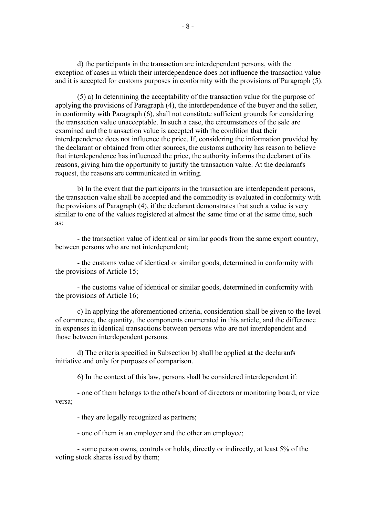d) the participants in the transaction are interdependent persons, with the exception of cases in which their interdependence does not influence the transaction value and it is accepted for customs purposes in conformity with the provisions of Paragraph (5).

(5) a) In determining the acceptability of the transaction value for the purpose of applying the provisions of Paragraph (4), the interdependence of the buyer and the seller, in conformity with Paragraph (6), shall not constitute sufficient grounds for considering the transaction value unacceptable. In such a case, the circumstances of the sale are examined and the transaction value is accepted with the condition that their interdependence does not influence the price. If, considering the information provided by the declarant or obtained from other sources, the customs authority has reason to believe that interdependence has influenced the price, the authority informs the declarant of its reasons, giving him the opportunity to justify the transaction value. At the declarant's request, the reasons are communicated in writing.

b) In the event that the participants in the transaction are interdependent persons, the transaction value shall be accepted and the commodity is evaluated in conformity with the provisions of Paragraph (4), if the declarant demonstrates that such a value is very similar to one of the values registered at almost the same time or at the same time, such as:

- the transaction value of identical or similar goods from the same export country, between persons who are not interdependent;

- the customs value of identical or similar goods, determined in conformity with the provisions of Article 15;

- the customs value of identical or similar goods, determined in conformity with the provisions of Article 16;

c) In applying the aforementioned criteria, consideration shall be given to the level of commerce, the quantity, the components enumerated in this article, and the difference in expenses in identical transactions between persons who are not interdependent and those between interdependent persons.

d) The criteria specified in Subsection b) shall be applied at the declarant's initiative and only for purposes of comparison.

6) In the context of this law, persons shall be considered interdependent if:

- one of them belongs to the other's board of directors or monitoring board, or vice versa;

- they are legally recognized as partners;

- one of them is an employer and the other an employee;

- some person owns, controls or holds, directly or indirectly, at least 5% of the voting stock shares issued by them;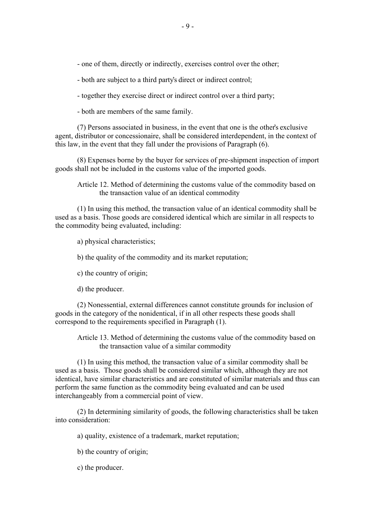- one of them, directly or indirectly, exercises control over the other;

- both are subject to a third party's direct or indirect control;

- together they exercise direct or indirect control over a third party;

- both are members of the same family.

(7) Persons associated in business, in the event that one is the other's exclusive agent, distributor or concessionaire, shall be considered interdependent, in the context of this law, in the event that they fall under the provisions of Paragraph (6).

(8) Expenses borne by the buyer for services of pre-shipment inspection of import goods shall not be included in the customs value of the imported goods.

Article 12. Method of determining the customs value of the commodity based on the transaction value of an identical commodity

(1) In using this method, the transaction value of an identical commodity shall be used as a basis. Those goods are considered identical which are similar in all respects to the commodity being evaluated, including:

a) physical characteristics;

b) the quality of the commodity and its market reputation;

c) the country of origin;

d) the producer.

(2) Nonessential, external differences cannot constitute grounds for inclusion of goods in the category of the nonidentical, if in all other respects these goods shall correspond to the requirements specified in Paragraph (1).

Article 13. Method of determining the customs value of the commodity based on the transaction value of a similar commodity

(1) In using this method, the transaction value of a similar commodity shall be used as a basis. Those goods shall be considered similar which, although they are not identical, have similar characteristics and are constituted of similar materials and thus can perform the same function as the commodity being evaluated and can be used interchangeably from a commercial point of view.

(2) In determining similarity of goods, the following characteristics shall be taken into consideration:

a) quality, existence of a trademark, market reputation;

b) the country of origin;

c) the producer.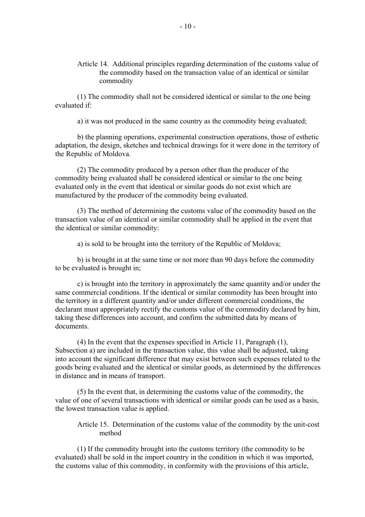Article 14. Additional principles regarding determination of the customs value of the commodity based on the transaction value of an identical or similar commodity

(1) The commodity shall not be considered identical or similar to the one being evaluated if:

a) it was not produced in the same country as the commodity being evaluated;

b) the planning operations, experimental construction operations, those of esthetic adaptation, the design, sketches and technical drawings for it were done in the territory of the Republic of Moldova.

(2) The commodity produced by a person other than the producer of the commodity being evaluated shall be considered identical or similar to the one being evaluated only in the event that identical or similar goods do not exist which are manufactured by the producer of the commodity being evaluated.

(3) The method of determining the customs value of the commodity based on the transaction value of an identical or similar commodity shall be applied in the event that the identical or similar commodity:

a) is sold to be brought into the territory of the Republic of Moldova;

b) is brought in at the same time or not more than 90 days before the commodity to be evaluated is brought in;

c) is brought into the territory in approximately the same quantity and/or under the same commercial conditions. If the identical or similar commodity has been brought into the territory in a different quantity and/or under different commercial conditions, the declarant must appropriately rectify the customs value of the commodity declared by him, taking these differences into account, and confirm the submitted data by means of documents.

(4) In the event that the expenses specified in Article 11, Paragraph (1), Subsection a) are included in the transaction value, this value shall be adjusted, taking into account the significant difference that may exist between such expenses related to the goods being evaluated and the identical or similar goods, as determined by the differences in distance and in means of transport.

(5) In the event that, in determining the customs value of the commodity, the value of one of several transactions with identical or similar goods can be used as a basis, the lowest transaction value is applied.

Article 15. Determination of the customs value of the commodity by the unit-cost method

(1) If the commodity brought into the customs territory (the commodity to be evaluated) shall be sold in the import country in the condition in which it was imported, the customs value of this commodity, in conformity with the provisions of this article,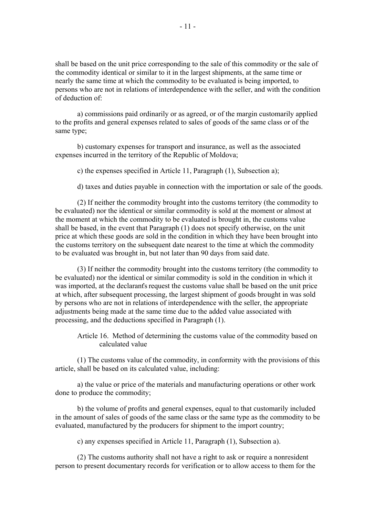shall be based on the unit price corresponding to the sale of this commodity or the sale of the commodity identical or similar to it in the largest shipments, at the same time or nearly the same time at which the commodity to be evaluated is being imported, to persons who are not in relations of interdependence with the seller, and with the condition of deduction of:

a) commissions paid ordinarily or as agreed, or of the margin customarily applied to the profits and general expenses related to sales of goods of the same class or of the same type;

b) customary expenses for transport and insurance, as well as the associated expenses incurred in the territory of the Republic of Moldova;

c) the expenses specified in Article 11, Paragraph (1), Subsection a);

d) taxes and duties payable in connection with the importation or sale of the goods.

(2) If neither the commodity brought into the customs territory (the commodity to be evaluated) nor the identical or similar commodity is sold at the moment or almost at the moment at which the commodity to be evaluated is brought in, the customs value shall be based, in the event that Paragraph (1) does not specify otherwise, on the unit price at which these goods are sold in the condition in which they have been brought into the customs territory on the subsequent date nearest to the time at which the commodity to be evaluated was brought in, but not later than 90 days from said date.

(3) If neither the commodity brought into the customs territory (the commodity to be evaluated) nor the identical or similar commodity is sold in the condition in which it was imported, at the declarant's request the customs value shall be based on the unit price at which, after subsequent processing, the largest shipment of goods brought in was sold by persons who are not in relations of interdependence with the seller, the appropriate adjustments being made at the same time due to the added value associated with processing, and the deductions specified in Paragraph (1).

Article 16. Method of determining the customs value of the commodity based on calculated value

(1) The customs value of the commodity, in conformity with the provisions of this article, shall be based on its calculated value, including:

a) the value or price of the materials and manufacturing operations or other work done to produce the commodity;

b) the volume of profits and general expenses, equal to that customarily included in the amount of sales of goods of the same class or the same type as the commodity to be evaluated, manufactured by the producers for shipment to the import country;

c) any expenses specified in Article 11, Paragraph (1), Subsection a).

(2) The customs authority shall not have a right to ask or require a nonresident person to present documentary records for verification or to allow access to them for the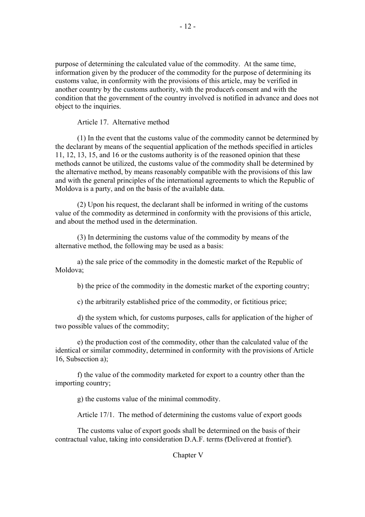purpose of determining the calculated value of the commodity. At the same time, information given by the producer of the commodity for the purpose of determining its customs value, in conformity with the provisions of this article, may be verified in another country by the customs authority, with the producer's consent and with the condition that the government of the country involved is notified in advance and does not object to the inquiries.

Article 17. Alternative method

(1) In the event that the customs value of the commodity cannot be determined by the declarant by means of the sequential application of the methods specified in articles 11, 12, 13, 15, and 16 or the customs authority is of the reasoned opinion that these methods cannot be utilized, the customs value of the commodity shall be determined by the alternative method, by means reasonably compatible with the provisions of this law and with the general principles of the international agreements to which the Republic of Moldova is a party, and on the basis of the available data.

(2) Upon his request, the declarant shall be informed in writing of the customs value of the commodity as determined in conformity with the provisions of this article, and about the method used in the determination.

(3) In determining the customs value of the commodity by means of the alternative method, the following may be used as a basis:

a) the sale price of the commodity in the domestic market of the Republic of Moldova;

b) the price of the commodity in the domestic market of the exporting country;

c) the arbitrarily established price of the commodity, or fictitious price;

d) the system which, for customs purposes, calls for application of the higher of two possible values of the commodity;

e) the production cost of the commodity, other than the calculated value of the identical or similar commodity, determined in conformity with the provisions of Article 16, Subsection a);

f) the value of the commodity marketed for export to a country other than the importing country;

g) the customs value of the minimal commodity.

Article 17/1. The method of determining the customs value of export goods

The customs value of export goods shall be determined on the basis of their contractual value, taking into consideration D.A.F. terms (Delivered at frontier<sup>2</sup>).

Chapter V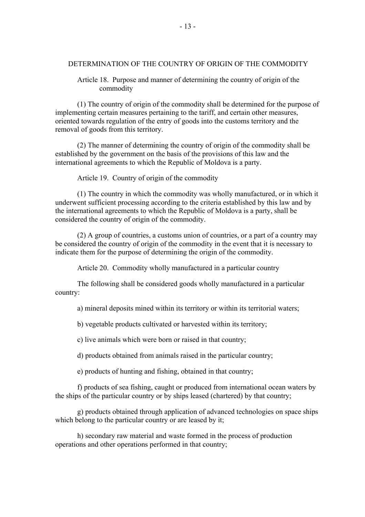### DETERMINATION OF THE COUNTRY OF ORIGIN OF THE COMMODITY

Article 18. Purpose and manner of determining the country of origin of the commodity

(1) The country of origin of the commodity shall be determined for the purpose of implementing certain measures pertaining to the tariff, and certain other measures, oriented towards regulation of the entry of goods into the customs territory and the removal of goods from this territory.

(2) The manner of determining the country of origin of the commodity shall be established by the government on the basis of the provisions of this law and the international agreements to which the Republic of Moldova is a party.

Article 19. Country of origin of the commodity

(1) The country in which the commodity was wholly manufactured, or in which it underwent sufficient processing according to the criteria established by this law and by the international agreements to which the Republic of Moldova is a party, shall be considered the country of origin of the commodity.

(2) A group of countries, a customs union of countries, or a part of a country may be considered the country of origin of the commodity in the event that it is necessary to indicate them for the purpose of determining the origin of the commodity.

Article 20. Commodity wholly manufactured in a particular country

The following shall be considered goods wholly manufactured in a particular country:

a) mineral deposits mined within its territory or within its territorial waters;

b) vegetable products cultivated or harvested within its territory;

c) live animals which were born or raised in that country;

d) products obtained from animals raised in the particular country;

e) products of hunting and fishing, obtained in that country;

f) products of sea fishing, caught or produced from international ocean waters by the ships of the particular country or by ships leased (chartered) by that country;

g) products obtained through application of advanced technologies on space ships which belong to the particular country or are leased by it;

h) secondary raw material and waste formed in the process of production operations and other operations performed in that country;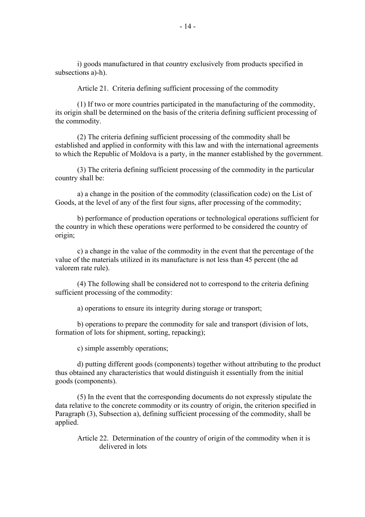i) goods manufactured in that country exclusively from products specified in subsections a)-h).

Article 21. Criteria defining sufficient processing of the commodity

(1) If two or more countries participated in the manufacturing of the commodity, its origin shall be determined on the basis of the criteria defining sufficient processing of the commodity.

(2) The criteria defining sufficient processing of the commodity shall be established and applied in conformity with this law and with the international agreements to which the Republic of Moldova is a party, in the manner established by the government.

(3) The criteria defining sufficient processing of the commodity in the particular country shall be:

a) a change in the position of the commodity (classification code) on the List of Goods, at the level of any of the first four signs, after processing of the commodity;

b) performance of production operations or technological operations sufficient for the country in which these operations were performed to be considered the country of origin;

c) a change in the value of the commodity in the event that the percentage of the value of the materials utilized in its manufacture is not less than 45 percent (the ad valorem rate rule).

(4) The following shall be considered not to correspond to the criteria defining sufficient processing of the commodity:

a) operations to ensure its integrity during storage or transport;

b) operations to prepare the commodity for sale and transport (division of lots, formation of lots for shipment, sorting, repacking);

c) simple assembly operations;

d) putting different goods (components) together without attributing to the product thus obtained any characteristics that would distinguish it essentially from the initial goods (components).

(5) In the event that the corresponding documents do not expressly stipulate the data relative to the concrete commodity or its country of origin, the criterion specified in Paragraph (3), Subsection a), defining sufficient processing of the commodity, shall be applied.

Article 22. Determination of the country of origin of the commodity when it is delivered in lots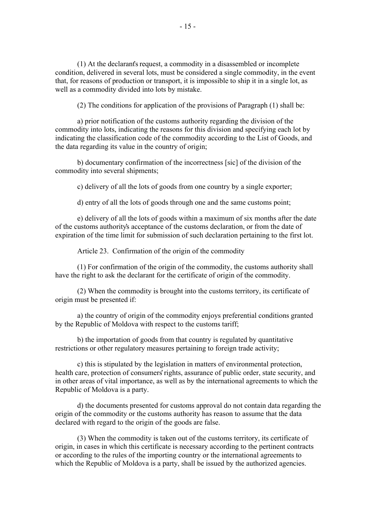(1) At the declarant's request, a commodity in a disassembled or incomplete condition, delivered in several lots, must be considered a single commodity, in the event that, for reasons of production or transport, it is impossible to ship it in a single lot, as well as a commodity divided into lots by mistake.

(2) The conditions for application of the provisions of Paragraph (1) shall be:

a) prior notification of the customs authority regarding the division of the commodity into lots, indicating the reasons for this division and specifying each lot by indicating the classification code of the commodity according to the List of Goods, and the data regarding its value in the country of origin;

b) documentary confirmation of the incorrectness [sic] of the division of the commodity into several shipments;

c) delivery of all the lots of goods from one country by a single exporter;

d) entry of all the lots of goods through one and the same customs point;

e) delivery of all the lots of goods within a maximum of six months after the date of the customs authority's acceptance of the customs declaration, or from the date of expiration of the time limit for submission of such declaration pertaining to the first lot.

Article 23. Confirmation of the origin of the commodity

(1) For confirmation of the origin of the commodity, the customs authority shall have the right to ask the declarant for the certificate of origin of the commodity.

(2) When the commodity is brought into the customs territory, its certificate of origin must be presented if:

a) the country of origin of the commodity enjoys preferential conditions granted by the Republic of Moldova with respect to the customs tariff;

b) the importation of goods from that country is regulated by quantitative restrictions or other regulatory measures pertaining to foreign trade activity;

c) this is stipulated by the legislation in matters of environmental protection, health care, protection of consumers' rights, assurance of public order, state security, and in other areas of vital importance, as well as by the international agreements to which the Republic of Moldova is a party.

d) the documents presented for customs approval do not contain data regarding the origin of the commodity or the customs authority has reason to assume that the data declared with regard to the origin of the goods are false.

(3) When the commodity is taken out of the customs territory, its certificate of origin, in cases in which this certificate is necessary according to the pertinent contracts or according to the rules of the importing country or the international agreements to which the Republic of Moldova is a party, shall be issued by the authorized agencies.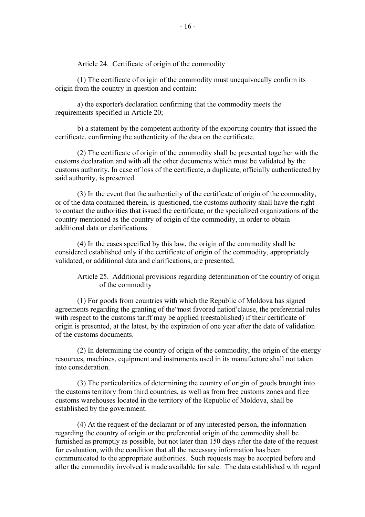Article 24. Certificate of origin of the commodity

(1) The certificate of origin of the commodity must unequivocally confirm its origin from the country in question and contain:

a) the exporter's declaration confirming that the commodity meets the requirements specified in Article 20;

b) a statement by the competent authority of the exporting country that issued the certificate, confirming the authenticity of the data on the certificate.

(2) The certificate of origin of the commodity shall be presented together with the customs declaration and with all the other documents which must be validated by the customs authority. In case of loss of the certificate, a duplicate, officially authenticated by said authority, is presented.

(3) In the event that the authenticity of the certificate of origin of the commodity, or of the data contained therein, is questioned, the customs authority shall have the right to contact the authorities that issued the certificate, or the specialized organizations of the country mentioned as the country of origin of the commodity, in order to obtain additional data or clarifications.

(4) In the cases specified by this law, the origin of the commodity shall be considered established only if the certificate of origin of the commodity, appropriately validated, or additional data and clarifications, are presented.

Article 25. Additional provisions regarding determination of the country of origin of the commodity

(1) For goods from countries with which the Republic of Moldova has signed agreements regarding the granting of the "most favored nation" clause, the preferential rules with respect to the customs tariff may be applied (reestablished) if their certificate of origin is presented, at the latest, by the expiration of one year after the date of validation of the customs documents.

(2) In determining the country of origin of the commodity, the origin of the energy resources, machines, equipment and instruments used in its manufacture shall not taken into consideration.

(3) The particularities of determining the country of origin of goods brought into the customs territory from third countries, as well as from free customs zones and free customs warehouses located in the territory of the Republic of Moldova, shall be established by the government.

(4) At the request of the declarant or of any interested person, the information regarding the country of origin or the preferential origin of the commodity shall be furnished as promptly as possible, but not later than 150 days after the date of the request for evaluation, with the condition that all the necessary information has been communicated to the appropriate authorities. Such requests may be accepted before and after the commodity involved is made available for sale. The data established with regard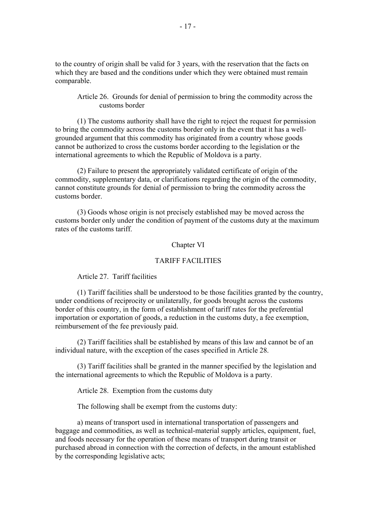to the country of origin shall be valid for 3 years, with the reservation that the facts on which they are based and the conditions under which they were obtained must remain comparable.

Article 26. Grounds for denial of permission to bring the commodity across the customs border

(1) The customs authority shall have the right to reject the request for permission to bring the commodity across the customs border only in the event that it has a wellgrounded argument that this commodity has originated from a country whose goods cannot be authorized to cross the customs border according to the legislation or the international agreements to which the Republic of Moldova is a party.

(2) Failure to present the appropriately validated certificate of origin of the commodity, supplementary data, or clarifications regarding the origin of the commodity, cannot constitute grounds for denial of permission to bring the commodity across the customs border.

(3) Goods whose origin is not precisely established may be moved across the customs border only under the condition of payment of the customs duty at the maximum rates of the customs tariff.

#### Chapter VI

## TARIFF FACILITIES

# Article 27. Tariff facilities

(1) Tariff facilities shall be understood to be those facilities granted by the country, under conditions of reciprocity or unilaterally, for goods brought across the customs border of this country, in the form of establishment of tariff rates for the preferential importation or exportation of goods, a reduction in the customs duty, a fee exemption, reimbursement of the fee previously paid.

(2) Tariff facilities shall be established by means of this law and cannot be of an individual nature, with the exception of the cases specified in Article 28.

(3) Tariff facilities shall be granted in the manner specified by the legislation and the international agreements to which the Republic of Moldova is a party.

Article 28. Exemption from the customs duty

The following shall be exempt from the customs duty:

a) means of transport used in international transportation of passengers and baggage and commodities, as well as technical-material supply articles, equipment, fuel, and foods necessary for the operation of these means of transport during transit or purchased abroad in connection with the correction of defects, in the amount established by the corresponding legislative acts;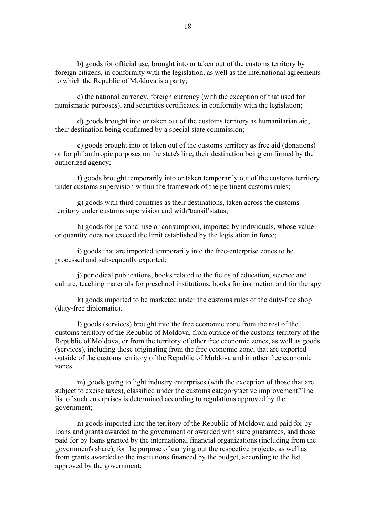b) goods for official use, brought into or taken out of the customs territory by foreign citizens, in conformity with the legislation, as well as the international agreements to which the Republic of Moldova is a party;

c) the national currency, foreign currency (with the exception of that used for numismatic purposes), and securities certificates, in conformity with the legislation;

d) goods brought into or taken out of the customs territory as humanitarian aid, their destination being confirmed by a special state commission;

e) goods brought into or taken out of the customs territory as free aid (donations) or for philanthropic purposes on the state's line, their destination being confirmed by the authorized agency;

f) goods brought temporarily into or taken temporarily out of the customs territory under customs supervision within the framework of the pertinent customs rules;

g) goods with third countries as their destinations, taken across the customs territory under customs supervision and with 'transit' status;

h) goods for personal use or consumption, imported by individuals, whose value or quantity does not exceed the limit established by the legislation in force;

i) goods that are imported temporarily into the free-enterprise zones to be processed and subsequently exported;

j) periodical publications, books related to the fields of education, science and culture, teaching materials for preschool institutions, books for instruction and for therapy.

k) goods imported to be marketed under the customs rules of the duty-free shop (duty-free diplomatic).

l) goods (services) brought into the free economic zone from the rest of the customs territory of the Republic of Moldova, from outside of the customs territory of the Republic of Moldova, or from the territory of other free economic zones, as well as goods (services), including those originating from the free economic zone, that are exported outside of the customs territory of the Republic of Moldova and in other free economic zones.

m) goods going to light industry enterprises (with the exception of those that are subject to excise taxes), classified under the customs category "active improvement." The list of such enterprises is determined according to regulations approved by the government;

n) goods imported into the territory of the Republic of Moldova and paid for by loans and grants awarded to the government or awarded with state guarantees, and those paid for by loans granted by the international financial organizations (including from the government's share), for the purpose of carrying out the respective projects, as well as from grants awarded to the institutions financed by the budget, according to the list approved by the government;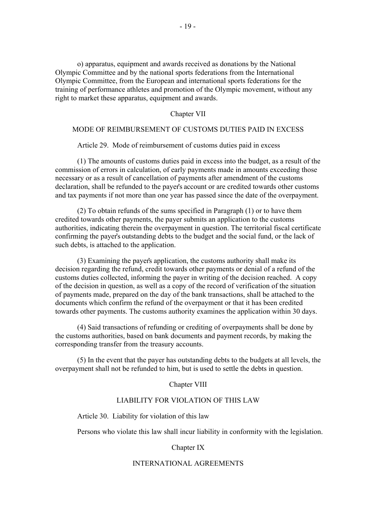o) apparatus, equipment and awards received as donations by the National Olympic Committee and by the national sports federations from the International Olympic Committee, from the European and international sports federations for the training of performance athletes and promotion of the Olympic movement, without any right to market these apparatus, equipment and awards.

### Chapter VII

#### MODE OF REIMBURSEMENT OF CUSTOMS DUTIES PAID IN EXCESS

Article 29. Mode of reimbursement of customs duties paid in excess

(1) The amounts of customs duties paid in excess into the budget, as a result of the commission of errors in calculation, of early payments made in amounts exceeding those necessary or as a result of cancellation of payments after amendment of the customs declaration, shall be refunded to the payer's account or are credited towards other customs and tax payments if not more than one year has passed since the date of the overpayment.

(2) To obtain refunds of the sums specified in Paragraph (1) or to have them credited towards other payments, the payer submits an application to the customs authorities, indicating therein the overpayment in question. The territorial fiscal certificate confirming the payer's outstanding debts to the budget and the social fund, or the lack of such debts, is attached to the application.

(3) Examining the payer's application, the customs authority shall make its decision regarding the refund, credit towards other payments or denial of a refund of the customs duties collected, informing the payer in writing of the decision reached. A copy of the decision in question, as well as a copy of the record of verification of the situation of payments made, prepared on the day of the bank transactions, shall be attached to the documents which confirm the refund of the overpayment or that it has been credited towards other payments. The customs authority examines the application within 30 days.

(4) Said transactions of refunding or crediting of overpayments shall be done by the customs authorities, based on bank documents and payment records, by making the corresponding transfer from the treasury accounts.

(5) In the event that the payer has outstanding debts to the budgets at all levels, the overpayment shall not be refunded to him, but is used to settle the debts in question.

#### Chapter VIII

# LIABILITY FOR VIOLATION OF THIS LAW

Article 30. Liability for violation of this law

Persons who violate this law shall incur liability in conformity with the legislation.

#### Chapter IX

### INTERNATIONAL AGREEMENTS